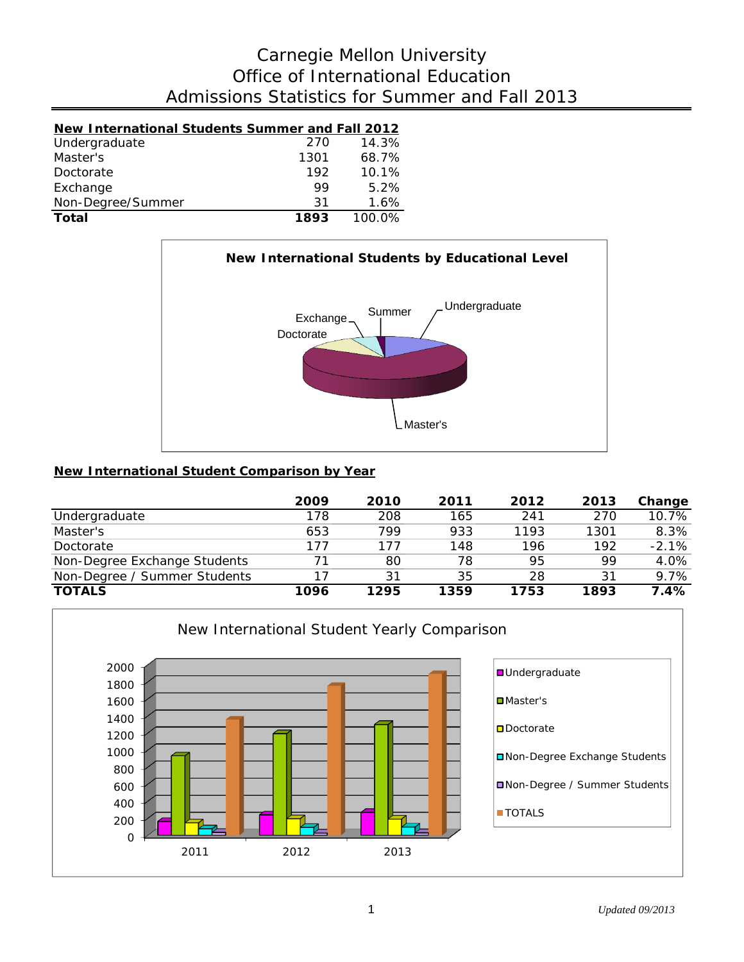# Admissions Statistics for Summer and Fall 2013 Office of International Education Carnegie Mellon University

| New International Students Summer and Fall 2012 |      |        |
|-------------------------------------------------|------|--------|
| Undergraduate                                   | 270  | 14.3%  |
| Master's                                        | 1301 | 68.7%  |
| Doctorate                                       | 192  | 10.1%  |
| Exchange                                        | 99   | 5.2%   |
| Non-Degree/Summer                               | 31   | 1.6%   |
| Total                                           | 1893 | 100.0% |



## **New International Student Comparison by Year**

|                              | 2009 | 2010 | 2011 | 2012 | 2013 | Change   |
|------------------------------|------|------|------|------|------|----------|
| Undergraduate                | 178  | 208  | 165  | 241  | 270  | $10.7\%$ |
| Master's                     | 653  | 799  | 933  | 1193 | 1301 | 8.3%     |
| Doctorate                    | 177  | 177  | 148  | 196  | 192  | $-2.1%$  |
| Non-Degree Exchange Students | 71   | 80   | 78   | 95   | 99   | 4.0%     |
| Non-Degree / Summer Students | 17   | 31   | 35   | 28   | 31   | 9.7%     |
| <b>TOTALS</b>                | 1096 | 1295 | 1359 | 1753 | 1893 | 7.4%     |

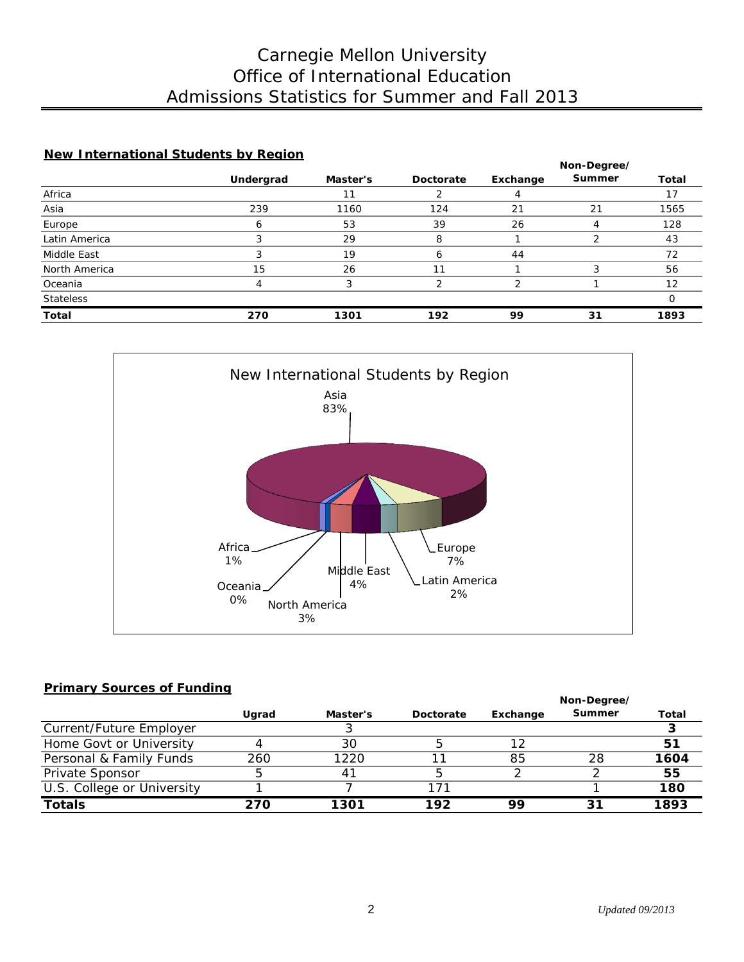# Admissions Statistics for Summer and Fall 2013 Office of International Education Carnegie Mellon University

## **New International Students by Region**

|                  |           |          |           | Non-Degree/ |        |              |  |
|------------------|-----------|----------|-----------|-------------|--------|--------------|--|
|                  | Undergrad | Master's | Doctorate | Exchange    | Summer | <b>Total</b> |  |
| Africa           |           |          |           |             |        |              |  |
| Asia             | 239       | 1160     | 124       | 21          | 21     | 1565         |  |
| Europe           | 6         | 53       | 39        | 26          |        | 128          |  |
| Latin America    |           | 29       | 8         |             |        | 43           |  |
| Middle East      |           | 19       | ь         | 44          |        | 72           |  |
| North America    | 15        | 26       | 11        |             |        | 56           |  |
| Oceania          | 4         |          |           | っ           |        | 12           |  |
| <b>Stateless</b> |           |          |           |             |        |              |  |
| <b>Total</b>     | 270       | 1301     | 192       | 99          | 31     | 1893         |  |



### **Primary Sources of Funding**

|                            |       |                | Non-Degree/ |          |        |       |
|----------------------------|-------|----------------|-------------|----------|--------|-------|
|                            | Ugrad | Master's       | Doctorate   | Exchange | Summer | Total |
| Current/Future Employer    |       |                |             |          |        |       |
| Home Govt or University    |       | 30             |             | 12       |        | 51    |
| Personal & Family Funds    | 260   | 1220           |             | 85       | 28     | 1604  |
| Private Sponsor            | 5     | 4 <sup>1</sup> |             |          |        | 55    |
| U.S. College or University |       |                | 171         |          |        | 180   |
| <b>Totals</b>              | 270   | 1301           | 192         | 99       | 31     | 1893  |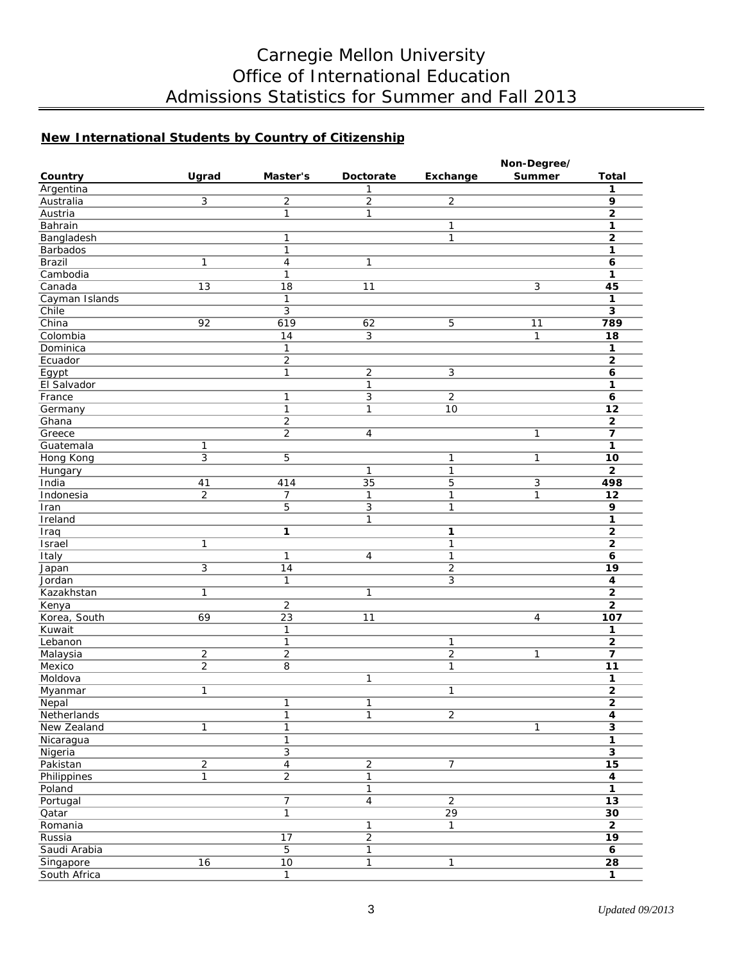# Carnegie Mellon University Office of International Education Admissions Statistics for Summer and Fall 2013

## **New International Students by Country of Citizenship**

|                 |                  |                         |                  |                 | Non-Degree/   |                         |
|-----------------|------------------|-------------------------|------------------|-----------------|---------------|-------------------------|
| Country         | Ugrad            | Master's                | <b>Doctorate</b> | Exchange        | <b>Summer</b> | <b>Total</b>            |
| Argentina       |                  |                         | 1                |                 |               | 1                       |
| Australia       | 3                | $\overline{2}$          | 2                | $\overline{2}$  |               | 9                       |
| Austria         |                  | $\mathbf{1}$            | $\mathbf{1}$     |                 |               | $\overline{2}$          |
| Bahrain         |                  |                         |                  | $\mathbf{1}$    |               | 1                       |
| Bangladesh      |                  | 1                       |                  | $\mathbf{1}$    |               | $\mathbf 2$             |
| Barbados        |                  | $\mathbf{1}$            |                  |                 |               | 1                       |
| Brazil          | 1                | $\overline{\mathbf{4}}$ | 1                |                 |               | 6                       |
| Cambodia        |                  | $\mathbf{1}$            |                  |                 |               | 1                       |
| Canada          | $\overline{13}$  | $\overline{18}$         | 11               |                 | 3             | 45                      |
| Cayman Islands  |                  | $\mathbf{1}$            |                  |                 |               | 1                       |
| Chile           |                  | $\overline{3}$          |                  |                 |               | 3                       |
| China           | 92               | 619                     | 62               | 5               | 11            | 789                     |
| Colombia        |                  | $\overline{14}$         | 3                |                 | $\mathbf{1}$  | 18                      |
| Dominica        |                  | $\mathbf{1}$            |                  |                 |               | 1                       |
| Ecuador         |                  | $\overline{2}$          |                  |                 |               | $\mathbf{2}$            |
| Egypt           |                  | $\mathbf{1}$            | $\overline{2}$   | $\overline{3}$  |               | 6                       |
| El Salvador     |                  |                         | 1                |                 |               | 1                       |
| France          |                  | $\mathbf{1}$            | 3                | $\overline{2}$  |               | 6                       |
| Germany         |                  | $\mathbf{1}$            | 1                | 10              |               | 12                      |
| Ghana           |                  | $\overline{2}$          |                  |                 |               | $\overline{2}$          |
| Greece          |                  | $\overline{2}$          | 4                |                 | 1             | $\overline{\mathbf{z}}$ |
| Guatemala       | 1                |                         |                  |                 |               | 1                       |
| Hong Kong       | 3                | 5                       |                  | 1               | 1             | 10                      |
| Hungary         |                  |                         | $\mathbf{1}$     | 1               |               | $\mathbf{2}$            |
| India           | 41               | 414                     | $\overline{35}$  | 5               | 3             | 498                     |
| Indonesia       | $\overline{2}$   | $\overline{7}$          | $\mathbf{1}$     | 1               | 1             | 12                      |
| Iran            |                  | 5                       | 3                | 1               |               | 9                       |
| Ireland         |                  |                         | 1                |                 |               | 1                       |
| Iraq            |                  | 1                       |                  | 1               |               | $\mathbf{2}$            |
| Israel          | $\mathbf{1}$     |                         |                  | 1               |               | $\mathbf{2}$            |
|                 |                  | $\mathbf{1}$            | 4                | $\mathbf{1}$    |               | 6                       |
| Italy           | 3                | 14                      |                  | $\overline{2}$  |               | $\overline{19}$         |
| Japan<br>Jordan |                  | 1                       |                  | $\mathfrak{Z}$  |               |                         |
|                 | 1                |                         | 1                |                 |               | 4<br>$\overline{2}$     |
| Kazakhstan      |                  | $\overline{2}$          |                  |                 |               | $\mathbf{2}$            |
| Kenya           |                  |                         |                  |                 |               |                         |
| Korea, South    | 69               | 23                      | 11               |                 | 4             | 107                     |
| Kuwait          |                  | 1                       |                  |                 |               | 1                       |
| Lebanon         |                  | $\mathbf{1}$            |                  | 1               |               | $\overline{2}$          |
| Malaysia        | $\boldsymbol{2}$ | $\overline{2}$          |                  | $\overline{2}$  | 1             | 7                       |
| Mexico          | $\overline{2}$   | 8                       |                  | 1               |               | 11                      |
| Moldova         |                  |                         | 1                |                 |               | 1                       |
| Myanmar         | 1                |                         |                  | 1               |               | $\overline{2}$          |
| <b>Nepal</b>    |                  | 1                       | 1                |                 |               | 2                       |
| Netherlands     |                  | $\mathbf{1}$            | $\mathbf{1}$     | $\overline{2}$  |               | 4                       |
| New Zealand     | 1                | $\mathbf{1}$            |                  |                 | $\mathbf{1}$  | $\overline{\mathbf{3}}$ |
| Nicaragua       |                  | $\mathbf{1}$            |                  |                 |               | 1                       |
| Nigeria         |                  | $\overline{3}$          |                  |                 |               | $\overline{\mathbf{3}}$ |
| Pakistan        | $\overline{2}$   | $\overline{4}$          | $\overline{2}$   | $\overline{7}$  |               | 15                      |
| Philippines     | $\mathbf{1}$     | $\overline{2}$          | $\mathbf{1}$     |                 |               | 4                       |
| Poland          |                  |                         | $\mathbf{1}$     |                 |               | 1                       |
| Portugal        |                  | $\overline{7}$          | $\overline{4}$   | $\overline{2}$  |               | 13                      |
| Qatar           |                  | 1                       |                  | $\overline{29}$ |               | 30                      |
| Romania         |                  |                         | 1                | 1               |               | $\overline{2}$          |
| Russia          |                  | $\overline{17}$         | $\overline{2}$   |                 |               | $\overline{19}$         |
| Saudi Arabia    |                  | $\overline{5}$          | $\mathbf{1}$     |                 |               | 6                       |
| Singapore       | 16               | $\overline{10}$         | 1                | 1               |               | $\overline{28}$         |
| South Africa    |                  | $\overline{1}$          |                  |                 |               | $\mathbf{1}$            |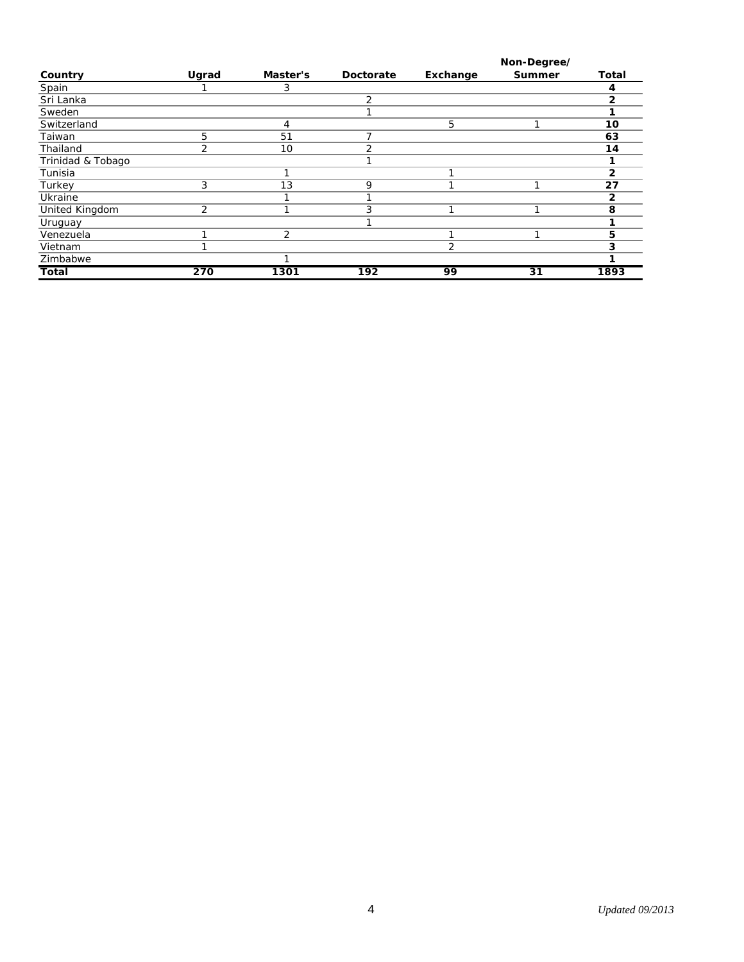|                   |       |                |           |          | Non-Degree/   |       |
|-------------------|-------|----------------|-----------|----------|---------------|-------|
| Country           | Ugrad | Master's       | Doctorate | Exchange | <b>Summer</b> | Total |
| Spain             |       | 3              |           |          |               | 4     |
| Sri Lanka         |       |                | 2         |          |               | 2     |
| Sweden            |       |                |           |          |               |       |
| Switzerland       |       | 4              |           | 5        |               | 10    |
| Taiwan            | 5     | 51             |           |          |               | 63    |
| Thailand          | 2     | 10             | 2         |          |               | 14    |
| Trinidad & Tobago |       |                |           |          |               |       |
| Tunisia           |       |                |           |          |               | 2     |
| Turkey            | 3     | 13             | 9         |          |               | 27    |
| Ukraine           |       |                |           |          |               | 2     |
| United Kingdom    | 2     |                | 3         |          | ◢             | 8     |
| Uruguay           |       |                |           |          |               |       |
| Venezuela         |       | $\overline{2}$ |           |          | ◢             | 5     |
| Vietnam           |       |                |           | 2        |               | 3     |
| Zimbabwe          |       |                |           |          |               |       |
| <b>Total</b>      | 270   | 1301           | 192       | 99       | 31            | 1893  |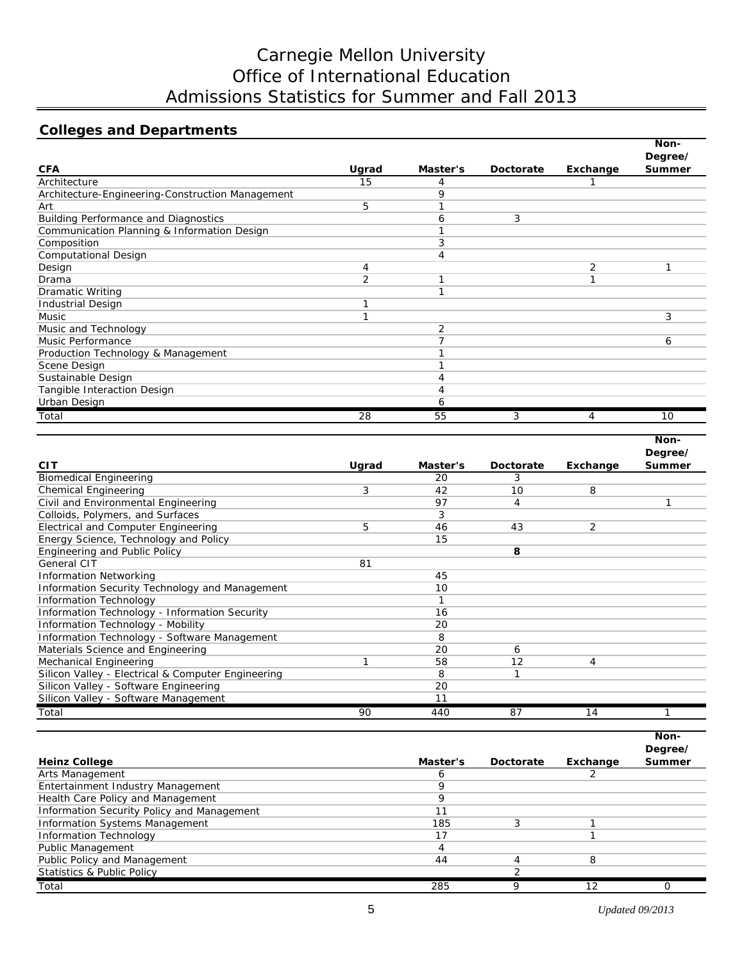# Carnegie Mellon University Office of International Education Admissions Statistics for Summer and Fall 2013

## **Colleges and Departments**

|                                                  |                |          |           |          | Non-          |
|--------------------------------------------------|----------------|----------|-----------|----------|---------------|
|                                                  |                |          |           |          | Degree/       |
| <b>CFA</b>                                       | Ugrad          | Master's | Doctorate | Exchange | <b>Summer</b> |
| Architecture                                     | 15             | 4        |           |          |               |
| Architecture-Engineering-Construction Management |                | 9        |           |          |               |
| Art                                              | 5              |          |           |          |               |
| <b>Building Performance and Diagnostics</b>      |                | 6        | 3         |          |               |
| Communication Planning & Information Design      |                |          |           |          |               |
| Composition                                      |                | 3        |           |          |               |
| <b>Computational Design</b>                      |                | 4        |           |          |               |
| Design                                           | 4              |          |           | 2        |               |
| Drama                                            | $\overline{2}$ |          |           | ◀        |               |
| <b>Dramatic Writing</b>                          |                |          |           |          |               |
| <b>Industrial Design</b>                         | и              |          |           |          |               |
| Music                                            |                |          |           |          | 3             |
| Music and Technology                             |                | 2        |           |          |               |
| Music Performance                                |                |          |           |          | 6             |
| Production Technology & Management               |                |          |           |          |               |
| Scene Design                                     |                |          |           |          |               |
| Sustainable Design                               |                | 4        |           |          |               |
| Tangible Interaction Design                      |                | 4        |           |          |               |
| Urban Design                                     |                | 6        |           |          |               |
| Total                                            | 28             | 55       | 3         | 4        | 10            |

|                                                    |       |          |           |          | Non-          |
|----------------------------------------------------|-------|----------|-----------|----------|---------------|
|                                                    |       |          |           |          | Degree/       |
| <b>CIT</b>                                         | Ugrad | Master's | Doctorate | Exchange | <b>Summer</b> |
| <b>Biomedical Engineering</b>                      |       | 20       | 3         |          |               |
| <b>Chemical Engineering</b>                        | 3     | 42       | 10        | 8        |               |
| Civil and Environmental Engineering                |       | 97       | 4         |          |               |
| Colloids, Polymers, and Surfaces                   |       | 3        |           |          |               |
| Electrical and Computer Engineering                | 5     | 46       | 43        | 2        |               |
| Energy Science, Technology and Policy              |       | 15       |           |          |               |
| Engineering and Public Policy                      |       |          | 8         |          |               |
| General CIT                                        | 81    |          |           |          |               |
| <b>Information Networking</b>                      |       | 45       |           |          |               |
| Information Security Technology and Management     |       | 10       |           |          |               |
| <b>Information Technology</b>                      |       | 1        |           |          |               |
| Information Technology - Information Security      |       | 16       |           |          |               |
| Information Technology - Mobility                  |       | 20       |           |          |               |
| Information Technology - Software Management       |       | 8        |           |          |               |
| Materials Science and Engineering                  |       | 20       | 6         |          |               |
| Mechanical Engineering                             |       | 58       | 12        | 4        |               |
| Silicon Valley - Electrical & Computer Engineering |       | 8        |           |          |               |
| Silicon Valley - Software Engineering              |       | 20       |           |          |               |
| Silicon Valley - Software Management               |       | 11       |           |          |               |
| Total                                              | 90    | 440      | 87        | 14       |               |

|                                            |          |           |          | Non-          |
|--------------------------------------------|----------|-----------|----------|---------------|
|                                            |          |           |          | Degree/       |
| <b>Heinz College</b>                       | Master's | Doctorate | Exchange | <b>Summer</b> |
| Arts Management                            |          |           |          |               |
| Entertainment Industry Management          |          |           |          |               |
| Health Care Policy and Management          |          |           |          |               |
| Information Security Policy and Management |          |           |          |               |
| <b>Information Systems Management</b>      | 185      | 3         |          |               |
| <b>Information Technology</b>              | 17       |           |          |               |
| Public Management                          | Д        |           |          |               |
| Public Policy and Management               | 44       |           | 8        |               |
| <b>Statistics &amp; Public Policy</b>      |          |           |          |               |
| Total                                      | 285      | Q         | 12       |               |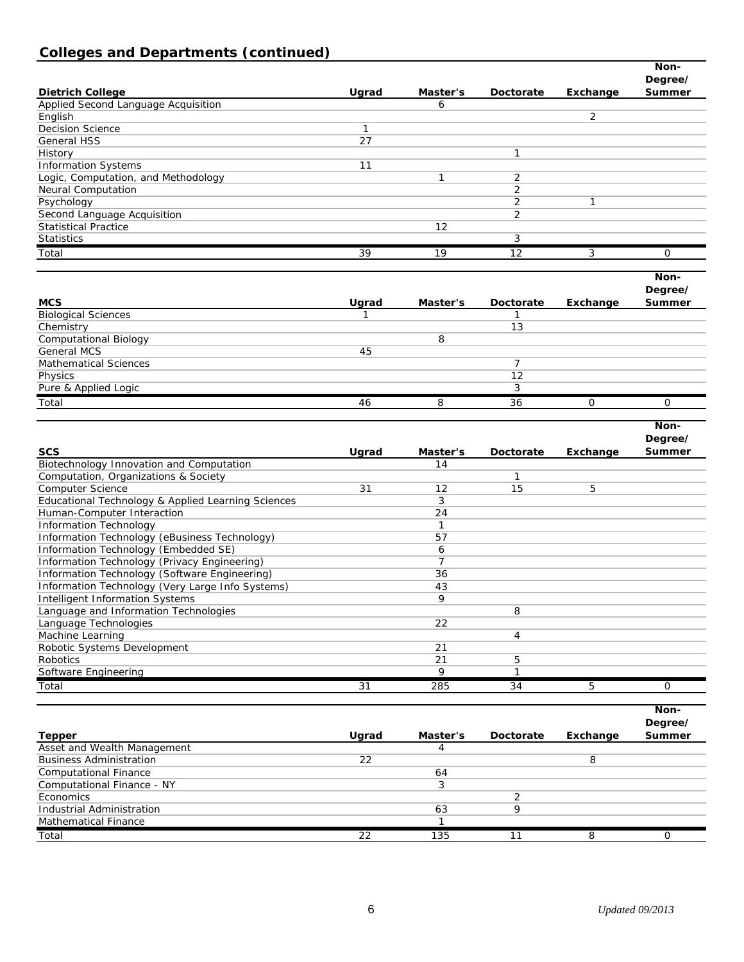## **Colleges and Departments (continued)**

|                                                                  |         |                |                |          | Non-              |
|------------------------------------------------------------------|---------|----------------|----------------|----------|-------------------|
|                                                                  |         |                |                |          | Degree/           |
| <b>Dietrich College</b>                                          | Ugrad   | Master's       | Doctorate      | Exchange | Summer            |
| Applied Second Language Acquisition                              |         | 6              |                |          |                   |
| English                                                          |         |                |                | 2        |                   |
| <b>Decision Science</b>                                          | 1<br>27 |                |                |          |                   |
| <b>General HSS</b>                                               |         |                | $\mathbf{1}$   |          |                   |
| History                                                          | 11      |                |                |          |                   |
| <b>Information Systems</b>                                       |         | 1              | $\overline{c}$ |          |                   |
| Logic, Computation, and Methodology<br><b>Neural Computation</b> |         |                | $\overline{2}$ |          |                   |
| Psychology                                                       |         |                | 2              | 1        |                   |
| Second Language Acquisition                                      |         |                | 2              |          |                   |
| <b>Statistical Practice</b>                                      |         | 12             |                |          |                   |
| Statistics                                                       |         |                | 3              |          |                   |
|                                                                  | 39      | 19             | 12             |          | 0                 |
| Total                                                            |         |                |                | 3        |                   |
|                                                                  |         |                |                |          | Non-              |
|                                                                  |         |                |                |          | Degree/           |
| <b>MCS</b>                                                       | Ugrad   | Master's       | Doctorate      | Exchange | Summer            |
| <b>Biological Sciences</b>                                       |         |                | -1             |          |                   |
| Chemistry                                                        |         |                | 13             |          |                   |
| <b>Computational Biology</b>                                     |         | 8              |                |          |                   |
| <b>General MCS</b>                                               | 45      |                |                |          |                   |
| <b>Mathematical Sciences</b>                                     |         |                | $\overline{7}$ |          |                   |
| Physics                                                          |         |                | 12             |          |                   |
| Pure & Applied Logic                                             |         |                | 3              |          |                   |
| Total                                                            | 46      | 8              | 36             | 0        | 0                 |
|                                                                  |         |                |                |          |                   |
|                                                                  |         |                |                |          | Non-              |
|                                                                  |         |                |                |          |                   |
| <b>SCS</b>                                                       | Ugrad   | Master's       | Doctorate      | Exchange | Degree/           |
| Biotechnology Innovation and Computation                         |         | 14             |                |          | Summer            |
| Computation, Organizations & Society                             |         |                | 1              |          |                   |
| Computer Science                                                 | 31      | 12             | 15             | 5        |                   |
| Educational Technology & Applied Learning Sciences               |         | 3              |                |          |                   |
| Human-Computer Interaction                                       |         | 24             |                |          |                   |
| Information Technology                                           |         | $\mathbf{1}$   |                |          |                   |
| Information Technology (eBusiness Technology)                    |         | 57             |                |          |                   |
| Information Technology (Embedded SE)                             |         | 6              |                |          |                   |
| Information Technology (Privacy Engineering)                     |         | $\overline{7}$ |                |          |                   |
| Information Technology (Software Engineering)                    |         | 36             |                |          |                   |
| Information Technology (Very Large Info Systems)                 |         | 43             |                |          |                   |
| <b>Intelligent Information Systems</b>                           |         | 9              |                |          |                   |
| Language and Information Technologies                            |         |                | 8              |          |                   |
| Language Technologies                                            |         | 22             |                |          |                   |
| Machine Learning                                                 |         |                | $\overline{4}$ |          |                   |
| Robotic Systems Development                                      |         | 21             |                |          |                   |
| <b>Robotics</b>                                                  |         | 21             | 5              |          |                   |
| Software Engineering                                             |         | 9              | $\mathbf{1}$   |          |                   |
| Total                                                            | 31      | 285            | 34             | 5        | 0                 |
|                                                                  |         |                |                |          |                   |
|                                                                  |         |                |                |          | Non-              |
|                                                                  |         | Master's       | Doctorate      |          | Degree/<br>Summer |
| <b>Tepper</b>                                                    | Ugrad   | $\overline{4}$ |                | Exchange |                   |
| Asset and Wealth Management                                      |         |                |                | 8        |                   |
| <b>Business Administration</b><br><b>Computational Finance</b>   | 22      | 64             |                |          |                   |

*Total 22 135 11 8 0*

Economics 2 Industrial Administration and the set of the set of the set of the set of the set of the set of the set of the set of the set of the set of the set of the set of the set of the set of the set of the set of the set of the s

Mathematical Finance 1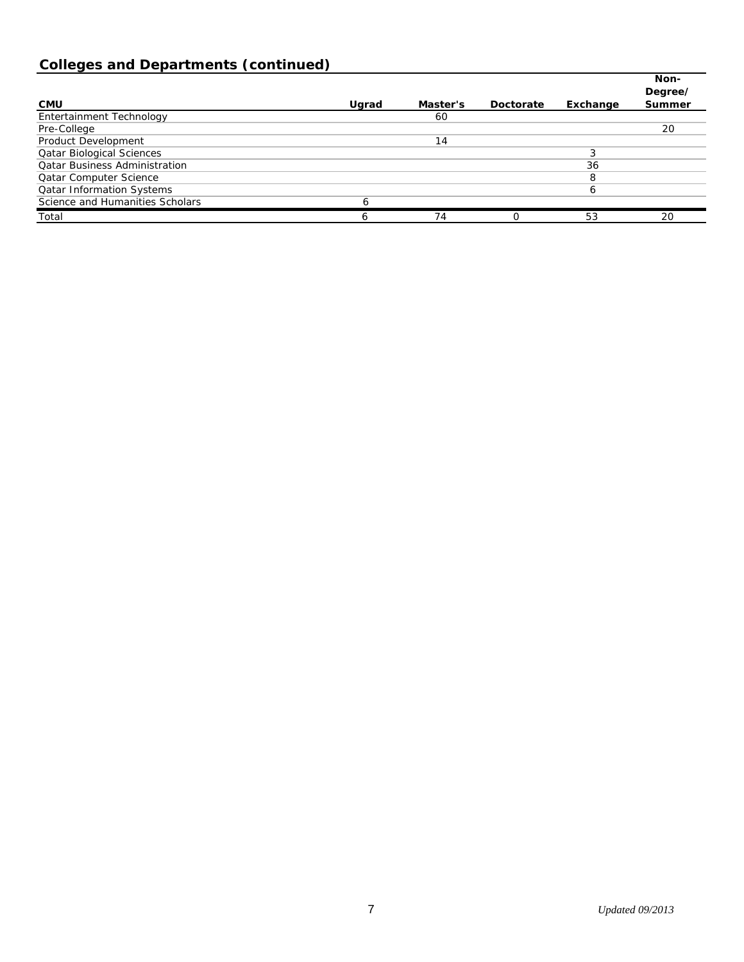# **Colleges and Departments (continued)**

|                                      |       |          |           |          | Non-<br>Degree/ |
|--------------------------------------|-------|----------|-----------|----------|-----------------|
| <b>CMU</b>                           | Ugrad | Master's | Doctorate | Exchange | <b>Summer</b>   |
| Entertainment Technology             |       | 60       |           |          |                 |
| Pre-College                          |       |          |           |          | 20              |
| Product Development                  |       | 14       |           |          |                 |
| <b>Qatar Biological Sciences</b>     |       |          |           | 3        |                 |
| <b>Qatar Business Administration</b> |       |          |           | 36       |                 |
| <b>Qatar Computer Science</b>        |       |          |           | 8        |                 |
| <b>Qatar Information Systems</b>     |       |          |           | 6        |                 |
| Science and Humanities Scholars      |       |          |           |          |                 |
| Total                                | Ô     | 74       | Ω         | 53       | 20              |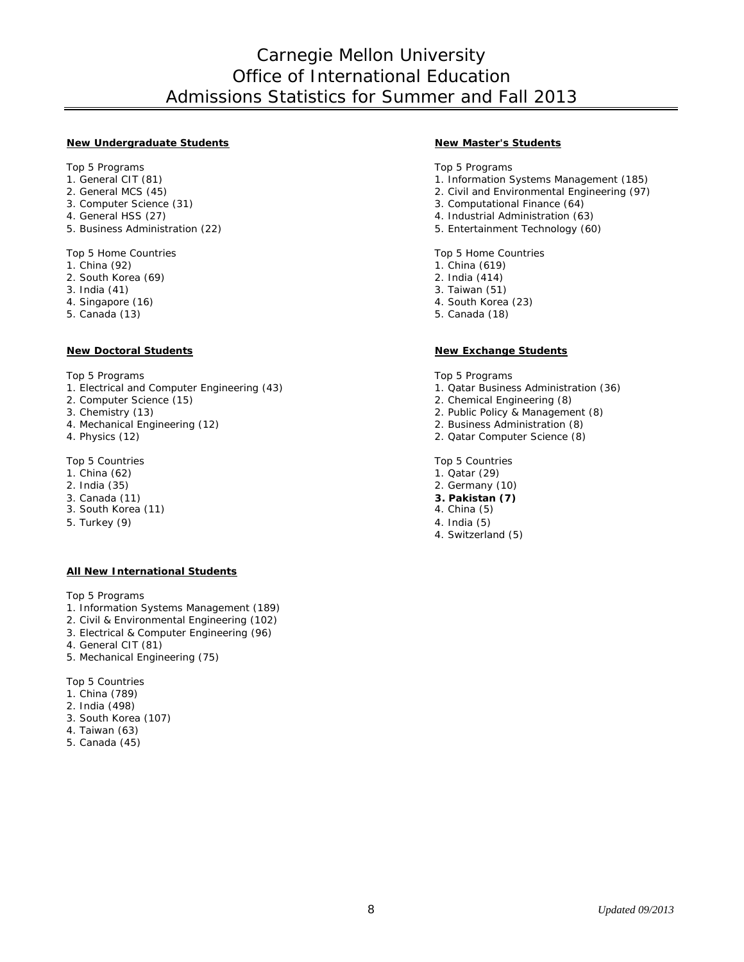# Carnegie Mellon University Office of International Education Admissions Statistics for Summer and Fall 2013

#### **New Undergraduate Students New Master's Students**

- 
- 
- 
- 
- 

- 
- 2. South Korea (69) 2. India (414)
- 3. India (41) 3. Taiwan (51)
- 
- 5. Canada (13) 5. Canada (18)

#### **New Doctoral Students New Exchange Students**

- 1. Electrical and Computer Engineering (43) 1. Qatar Business Administration (36)
- 
- 
- 4. Mechanical Engineering (12) 2. Business Administration (8)
- 

- 
- 
- 
- 3. South Korea (11) 4. China (5)
- 5. Turkey (9) 4. India (5)

#### **All New International Students**

Top 5 Programs

- 1. Information Systems Management (189)
- 2. Civil & Environmental Engineering (102)
- 3. Electrical & Computer Engineering (96)
- 4. General CIT (81)
- 5. Mechanical Engineering (75)

Top 5 Countries

- 1. China (789)
- 2. India (498)
- 3. South Korea (107)
- 4. Taiwan (63)
- 5. Canada (45)

Top 5 Programs Top 5 Programs Top 5 Programs Top 5 Programs Top 5 Programs

- 1. General CIT (81) 1. General CIT (81) 1. Information Systems Management (185)
- 2. General MCS (45) 2. Civil and Environmental Engineering (97)
- 3. Computer Science (31) 3. Computational Finance (64)
- 4. General HSS (27) 4. Industrial Administration (63)
- 5. Business Administration (22) 5. Entertainment Technology (60)

Top 5 Home Countries Top 5 Home Countries Top 5 Home Countries

- 1. China (92) 1. China (619)
	-
	-
- 4. Singapore (16) 4. South Korea (23)
	-

Top 5 Programs Top 5 Programs Top 5 Programs Top 5 Programs Top 5 Programs Top 5 Programs Top 5 Programs Top 5 Programs Top 5 Programs Top 5 Programs Top 5 Programs Top 5 Programs Top 5 Programs Top 5 Programs Top 5 Progra

- 
- 2. Computer Science (15) 2. Chemical Engineering (8)
- 3. Chemistry (13) 2. Public Policy & Management (8)
	-
- 4. Physics (12) 2. Qatar Computer Science (8)

Top 5 Countries Top 5 Countries Top 5 Countries Top 5 Countries Top 5 Countries Top 5 Countries Top 5 Countries Top 5 Countries Top 5 Countries Top 5 Countries Top 5 Countries Top 5 Countries Top 5 Countries Top 5 Countrie

- 
- 1. China (62) 1. China (62) 2. India (35) 2. India (35) 2. Germany (29) 2. Germany (29) 2. Germany (29) 2. Germany (29) 2. Germany (29) 2. Germany (20) 2. Germany (20) 2. Germany (20) 2. Germany (20) 2. Germany (20) 2. Ger 2. Germany (10)
- 3. Canada (11) **3. Pakistan (7)**
	-
	-
	- 4. Switzerland (5)